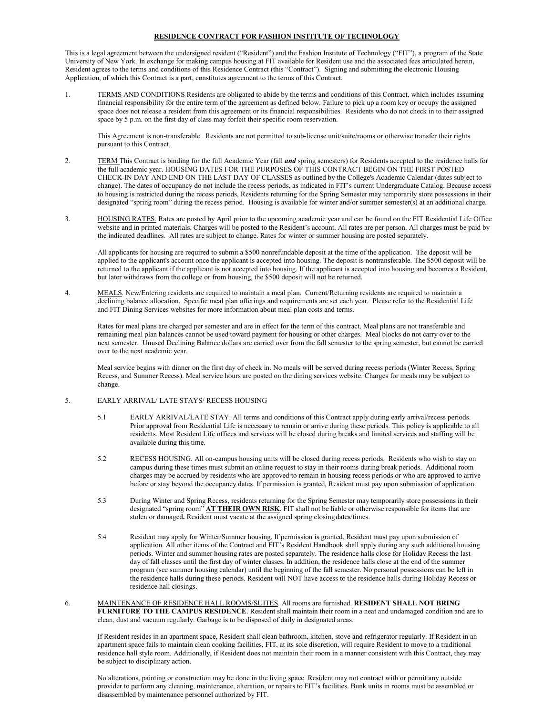#### **RESIDENCE CONTRACT FOR FASHION INSTITUTE OF TECHNOLOGY**

This is a legal agreement between the undersigned resident ("Resident") and the Fashion Institute of Technology ("FIT"), a program of the State University of New York. In exchange for making campus housing at FIT available for Resident use and the associated fees articulated herein, Resident agrees to the terms and conditions of this Residence Contract (this "Contract"). Signing and submitting the electronic Housing Application, of which this Contract is a part, constitutes agreement to the terms of this Contract.

1. TERMS AND CONDITIONS Residents are obligated to abide by the terms and conditions of this Contract, which includes assuming financial responsibility for the entire term of the agreement as defined below. Failure to pick up a room key or occupy the assigned space does not release a resident from this agreement or its financial responsibilities. Residents who do not check in to their assigned space by 5 p.m. on the first day of class may forfeit their specific room reservation.

This Agreement is non-transferable. Residents are not permitted to sub-license unit/suite/rooms or otherwise transfer their rights pursuant to this Contract.

- 2. TERM This Contract is binding for the full Academic Year (fall *and* spring semesters) for Residents accepted to the residence halls for the full academic year. HOUSING DATES FOR THE PURPOSES OF THIS CONTRACT BEGIN ON THE FIRST POSTED CHECK-IN DAY AND END ON THE LAST DAY OF CLASSES as outlined by the College's Academic Calendar (dates subject to change). The dates of occupancy do not include the recess periods, as indicated in FIT's current Undergraduate Catalog. Because access to housing is restricted during the recess periods, Residents returning for the Spring Semester may temporarily store possessions in their designated "spring room" during the recess period. Housing is available for winter and/or summer semester(s) at an additional charge.
- 3. HOUSING RATES. Rates are posted by April prior to the upcoming academic year and can be found on the FIT Residential Life Office website and in printed materials. Charges will be posted to the Resident's account. All rates are per person. All charges must be paid by the indicated deadlines. All rates are subject to change. Rates for winter or summer housing are posted separately.

All applicants for housing are required to submit a \$500 nonrefundable deposit at the time of the application. The deposit will be applied to the applicant's account once the applicant is accepted into housing. The deposit is nontransferable. The \$500 deposit will be returned to the applicant if the applicant is not accepted into housing. If the applicant is accepted into housing and becomes a Resident, but later withdraws from the college or from housing, the \$500 deposit will not be returned.

4. MEALS. New/Entering residents are required to maintain a meal plan. Current/Returning residents are required to maintain a declining balance allocation. Specific meal plan offerings and requirements are set each year. Please refer to the Residential Life and FIT Dining Services websites for more information about meal plan costs and terms.

Rates for meal plans are charged per semester and are in effect for the term of this contract. Meal plans are not transferable and remaining meal plan balances cannot be used toward payment for housing or other charges. Meal blocks do not carry over to the next semester. Unused Declining Balance dollars are carried over from the fall semester to the spring semester, but cannot be carried over to the next academic year.

Meal service begins with dinner on the first day of check in. No meals will be served during recess periods (Winter Recess, Spring Recess, and Summer Recess). Meal service hours are posted on the dining services website. Charges for meals may be subject to change.

#### 5. EARLY ARRIVAL/ LATE STAYS/ RECESS HOUSING

- 5.1 EARLY ARRIVAL/LATE STAY. All terms and conditions of this Contract apply during early arrival/recess periods. Prior approval from Residential Life is necessary to remain or arrive during these periods. This policy is applicable to all residents. Most Resident Life offices and services will be closed during breaks and limited services and staffing will be available during this time.
- 5.2 RECESS HOUSING. All on-campus housing units will be closed during recess periods. Residents who wish to stay on campus during these times must submit an online request to stay in their rooms during break periods. Additional room charges may be accrued by residents who are approved to remain in housing recess periods or who are approved to arrive before or stay beyond the occupancy dates. If permission is granted, Resident must pay upon submission of application.
- 5.3 During Winter and Spring Recess, residents returning for the Spring Semester may temporarily store possessions in their designated "spring room" **AT THEIR OWN RISK**. FIT shall not be liable or otherwise responsible for items that are stolen or damaged**.** Resident must vacate at the assigned spring closingdates/times.
- 5.4 Resident may apply for Winter/Summer housing. If permission is granted, Resident must pay upon submission of application. All other items of the Contract and FIT's Resident Handbook shall apply during any such additional housing periods. Winter and summer housing rates are posted separately. The residence halls close for Holiday Recess the last day of fall classes until the first day of winter classes. In addition, the residence halls close at the end of the summer program (see summer housing calendar) until the beginning of the fall semester. No personal possessions can be left in the residence halls during these periods. Resident will NOT have access to the residence halls during Holiday Recess or residence hall closings.
- 6. MAINTENANCE OF RESIDENCE HALL ROOMS/SUITES. All rooms are furnished. **RESIDENT SHALL NOT BRING FURNITURE TO THE CAMPUS RESIDENCE**. Resident shall maintain their room in a neat and undamaged condition and are to clean, dust and vacuum regularly. Garbage is to be disposed of daily in designated areas.

If Resident resides in an apartment space, Resident shall clean bathroom, kitchen, stove and refrigerator regularly. If Resident in an apartment space fails to maintain clean cooking facilities, FIT, at its sole discretion, will require Resident to move to a traditional residence hall style room. Additionally, if Resident does not maintain their room in a manner consistent with this Contract, they may be subject to disciplinary action.

No alterations, painting or construction may be done in the living space. Resident may not contract with or permit any outside provider to perform any cleaning, maintenance, alteration, or repairs to FIT's facilities. Bunk units in rooms must be assembled or disassembled by maintenance personnel authorized by FIT.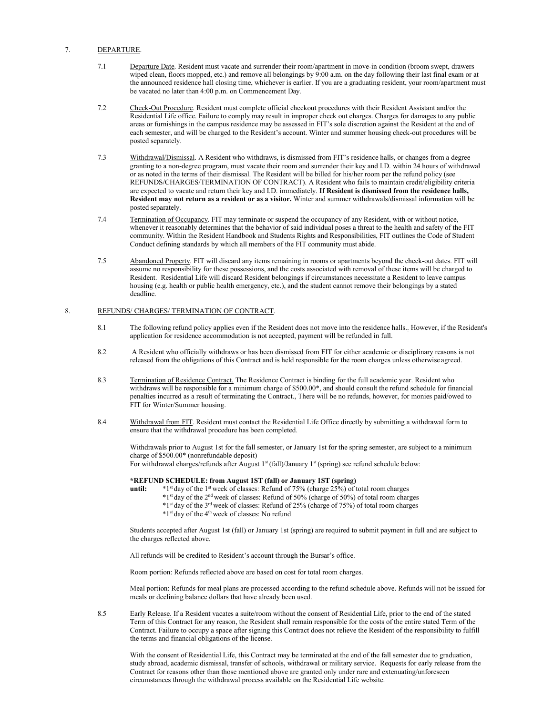#### 7. DEPARTURE.

- 7.1 Departure Date. Resident must vacate and surrender their room/apartment in move-in condition (broom swept, drawers wiped clean, floors mopped, etc.) and remove all belongings by 9:00 a.m. on the day following their last final exam or at the announced residence hall closing time, whichever is earlier. If you are a graduating resident, your room/apartment must be vacated no later than 4:00 p.m. on Commencement Day.
- 7.2 Check-Out Procedure. Resident must complete official checkout procedures with their Resident Assistant and/or the Residential Life office. Failure to comply may result in improper check out charges. Charges for damages to any public areas or furnishings in the campus residence may be assessed in FIT's sole discretion against the Resident at the end of each semester, and will be charged to the Resident's account. Winter and summer housing check-out procedures will be posted separately.
- 7.3 Withdrawal/Dismissal. A Resident who withdraws, is dismissed from FIT's residence halls, or changes from a degree granting to a non-degree program, must vacate their room and surrender their key and I.D. within 24 hours of withdrawal or as noted in the terms of their dismissal. The Resident will be billed for his/her room per the refund policy (see REFUNDS/CHARGES/TERMINATION OF CONTRACT). A Resident who fails to maintain credit/eligibility criteria are expected to vacate and return their key and I.D. immediately. **If Resident is dismissed from the residence halls, Resident may not return as a resident or as a visitor.** Winter and summer withdrawals/dismissal information will be posted separately.
- 7.4 Termination of Occupancy. FIT may terminate or suspend the occupancy of any Resident, with or without notice, whenever it reasonably determines that the behavior of said individual poses a threat to the health and safety of the FIT community. Within the Resident Handbook and Students Rights and Responsibilities, FIT outlines the Code of Student Conduct defining standards by which all members of the FIT community must abide.
- 7.5 Abandoned Property. FIT will discard any items remaining in rooms or apartments beyond the check-out dates. FIT will assume no responsibility for these possessions, and the costs associated with removal of these items will be charged to Resident. Residential Life will discard Resident belongings if circumstances necessitate a Resident to leave campus housing (e.g. health or public health emergency, etc.), and the student cannot remove their belongings by a stated deadline.

## 8. REFUNDS/ CHARGES/ TERMINATION OF CONTRACT.

- 8.1 The following refund policy applies even if the Resident does not move into the residence halls.. However, if the Resident's application for residence accommodation is not accepted, payment will be refunded in full.
- 8.2 A Resident who officially withdraws or has been dismissed from FIT for either academic or disciplinary reasons is not released from the obligations of this Contract and is held responsible for the room charges unless otherwise agreed.
- 8.3 Termination of Residence Contract. The Residence Contract is binding for the full academic year. Resident who withdraws will be responsible for a minimum charge of \$500.00\*, and should consult the refund schedule for financial penalties incurred as a result of terminating the Contract., There will be no refunds, however, for monies paid/owed to FIT for Winter/Summer housing.
- 8.4 Withdrawal from FIT. Resident must contact the Residential Life Office directly by submitting a withdrawal form to ensure that the withdrawal procedure has been completed.

Withdrawals prior to August 1st for the fall semester, or January 1st for the spring semester, are subject to a minimum charge of \$500.00\* (nonrefundable deposit) For withdrawal charges/refunds after August  $1<sup>st</sup>$  (fall)/January  $1<sup>st</sup>$  (spring) see refund schedule below:

- **\*REFUND SCHEDULE: from August 1ST (fall) or January 1ST (spring) until:**  $*1^{\text{st}}$  day of the 1<sup>st</sup> week of classes: Refund of 75% (charge 25%) of total room charges
	- \*1st day of the 2nd week of classes: Refund of 50% (charge of 50%) of total room charges
	- \*1st day of the 3rd week of classes: Refund of 25% (charge of 75%) of total room charges
	- \*1st day of the 4th week of classes: No refund

Students accepted after August 1st (fall) or January 1st (spring) are required to submit payment in full and are subject to the charges reflected above.

All refunds will be credited to Resident's account through the Bursar's office.

Room portion: Refunds reflected above are based on cost for total room charges.

Meal portion: Refunds for meal plans are processed according to the refund schedule above. Refunds will not be issued for meals or declining balance dollars that have already been used.

8.5 Early Release. If a Resident vacates a suite/room without the consent of Residential Life, prior to the end of the stated Term of this Contract for any reason, the Resident shall remain responsible for the costs of the entire stated Term of the Contract. Failure to occupy a space after signing this Contract does not relieve the Resident of the responsibility to fulfill the terms and financial obligations of the license.

With the consent of Residential Life, this Contract may be terminated at the end of the fall semester due to graduation, study abroad, academic dismissal, transfer of schools, withdrawal or military service. Requests for early release from the Contract for reasons other than those mentioned above are granted only under rare and extenuating/unforeseen circumstances through the withdrawal process available on the Residential Life website.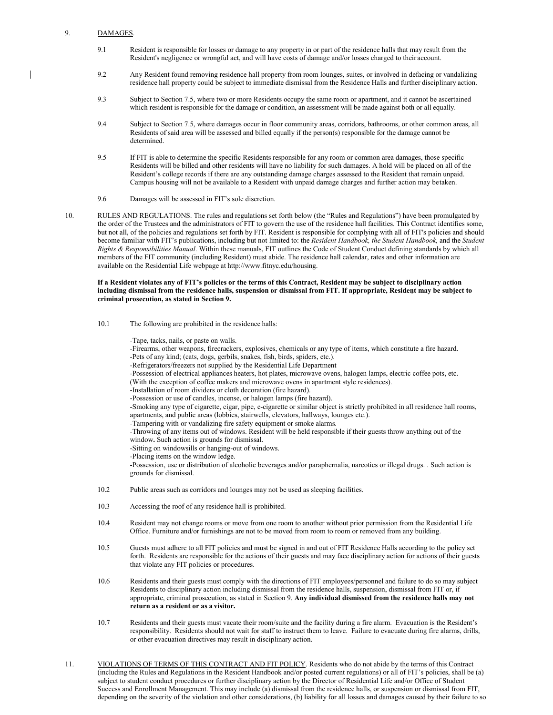#### 9. DAMAGES.

- 9.1 Resident is responsible for losses or damage to any property in or part of the residence halls that may result from the Resident's negligence or wrongful act, and will have costs of damage and/or losses charged to their account.
- 9.2 Any Resident found removing residence hall property from room lounges, suites, or involved in defacing or vandalizing residence hall property could be subject to immediate dismissal from the Residence Halls and further disciplinary action.
- 9.3 Subject to Section 7.5, where two or more Residents occupy the same room or apartment, and it cannot be ascertained which resident is responsible for the damage or condition, an assessment will be made against both or all equally.
- 9.4 Subject to Section 7.5, where damages occur in floor community areas, corridors, bathrooms, or other common areas, all Residents of said area will be assessed and billed equally if the person(s) responsible for the damage cannot be determined.
- 9.5 If FIT is able to determine the specific Residents responsible for any room or common area damages, those specific Residents will be billed and other residents will have no liability for such damages. A hold will be placed on all of the Resident's college records if there are any outstanding damage charges assessed to the Resident that remain unpaid. Campus housing will not be available to a Resident with unpaid damage charges and further action may betaken.
- 9.6 Damages will be assessed in FIT's sole discretion.
- 10. RULES AND REGULATIONS. The rules and regulations set forth below (the "Rules and Regulations") have been promulgated by the order of the Trustees and the administrators of FIT to govern the use of the residence hall facilities. This Contract identifies some, but not all, of the policies and regulations set forth by FIT. Resident is responsible for complying with all of FIT's policies and should become familiar with FIT's publications, including but not limited to: the *Resident Handbook, the Student Handbook,* and the *Student Rights & Responsibilities Manual*. Within these manuals, FIT outlines the Code of Student Conduct defining standards by which all members of the FIT community (including Resident) must abide. The residence hall calendar, rates and other information are available on the Residential Life webpage at [http://www.fitnyc.edu/housing.](http://www.fitnyc.edu/housing)

#### **If a Resident violates any of FIT's policies or the terms of this Contract, Resident may be subject to disciplinary action including dismissal from the residence halls, suspension or dismissal from FIT. If appropriate, Resident may be subject to criminal prosecution, as stated in Section 9.**

10.1 The following are prohibited in the residence halls:

**return as a resident or as a visitor.**

-Tape, tacks, nails, or paste on walls. -Firearms, other weapons, firecrackers, explosives, chemicals or any type of items, which constitute a fire hazard. -Pets of any kind; (cats, dogs, gerbils, snakes, fish, birds, spiders, etc.). -Refrigerators/freezers not supplied by the Residential Life Department -Possession of electrical appliances heaters, hot plates, microwave ovens, halogen lamps, electric coffee pots, etc. (With the exception of coffee makers and microwave ovens in apartment style residences). -Installation of room dividers or cloth decoration (fire hazard). -Possession or use of candles, incense, or halogen lamps (fire hazard). -Smoking any type of cigarette, cigar, pipe, e-cigarette or similar object is strictly prohibited in all residence hall rooms, apartments, and public areas (lobbies, stairwells, elevators, hallways, lounges etc.). -Tampering with or vandalizing fire safety equipment or smoke alarms. -Throwing of any items out of windows. Resident will be held responsible if their guests throw anything out of the window**.** Such action is grounds for dismissal. -Sitting on windowsills or hanging-out of windows. -Placing items on the window ledge. -Possession, use or distribution of alcoholic beverages and/or paraphernalia, narcotics or illegal drugs. . Such action is grounds for dismissal. 10.2 Public areas such as corridors and lounges may not be used as sleeping facilities. 10.3 Accessing the roof of any residence hall is prohibited. 10.4 Resident may not change rooms or move from one room to another without prior permission from the Residential Life Office. Furniture and/or furnishings are not to be moved from room to room or removed from any building. 10.5 Guests must adhere to all FIT policies and must be signed in and out of FIT Residence Halls according to the policy set forth. Residents are responsible for the actions of their guests and may face disciplinary action for actions of their guests that violate any FIT policies or procedures. 10.6 Residents and their guests must comply with the directions of FIT employees/personnel and failure to do so may subject Residents to disciplinary action including dismissal from the residence halls, suspension, dismissal from FIT or, if appropriate, criminal prosecution, as stated in Section 9. **Any individual dismissed from the residence halls may not** 

- 10.7 Residents and their guests must vacate their room/suite and the facility during a fire alarm. Evacuation is the Resident's responsibility. Residents should not wait for staff to instruct them to leave. Failure to evacuate during fire alarms, drills, or other evacuation directives may result in disciplinary action.
- 11. VIOLATIONS OF TERMS OF THIS CONTRACT AND FIT POLICY. Residents who do not abide by the terms of this Contract (including the Rules and Regulations in the Resident Handbook and/or posted current regulations) or all of FIT's policies, shall be (a) subject to student conduct procedures or further disciplinary action by the Director of Residential Life and/or Office of Student Success and Enrollment Management. This may include (a) dismissal from the residence halls, or suspension or dismissal from FIT, depending on the severity of the violation and other considerations, (b) liability for all losses and damages caused by their failure to so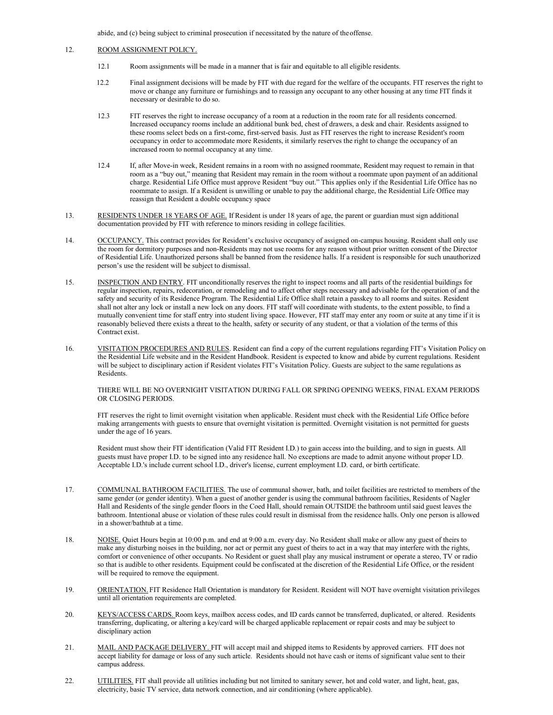abide, and (c) being subject to criminal prosecution if necessitated by the nature of theoffense.

### 12. ROOM ASSIGNMENT POLICY.

- 12.1 Room assignments will be made in a manner that is fair and equitable to all eligible residents.
- 12.2 Final assignment decisions will be made by FIT with due regard for the welfare of the occupants. FIT reserves the right to move or change any furniture or furnishings and to reassign any occupant to any other housing at any time FIT finds it necessary or desirable to do so.
- 12.3 FIT reserves the right to increase occupancy of a room at a reduction in the room rate for all residents concerned. Increased occupancy rooms include an additional bunk bed, chest of drawers, a desk and chair. Residents assigned to these rooms select beds on a first-come, first-served basis. Just as FIT reserves the right to increase Resident's room occupancy in order to accommodate more Residents, it similarly reserves the right to change the occupancy of an increased room to normal occupancy at any time.
- 12.4 If, after Move-in week, Resident remains in a room with no assigned roommate, Resident may request to remain in that room as a "buy out," meaning that Resident may remain in the room without a roommate upon payment of an additional charge. Residential Life Office must approve Resident "buy out." This applies only if the Residential Life Office has no roommate to assign. If a Resident is unwilling or unable to pay the additional charge, the Residential Life Office may reassign that Resident a double occupancy space
- 13. RESIDENTS UNDER 18 YEARS OF AGE. If Resident is under 18 years of age, the parent or guardian must sign additional documentation provided by FIT with reference to minors residing in college facilities.
- 14. OCCUPANCY. This contract provides for Resident's exclusive occupancy of assigned on-campus housing. Resident shall only use the room for dormitory purposes and non-Residents may not use rooms for any reason without prior written consent of the Director of Residential Life. Unauthorized persons shall be banned from the residence halls. If a resident is responsible for such unauthorized person's use the resident will be subject to dismissal.
- 15. INSPECTION AND ENTRY. FIT unconditionally reserves the right to inspect rooms and all parts of the residential buildings for regular inspection, repairs, redecoration, or remodeling and to affect other steps necessary and advisable for the operation of and the safety and security of its Residence Program. The Residential Life Office shall retain a passkey to all rooms and suites. Resident shall not alter any lock or install a new lock on any doors. FIT staff will coordinate with students, to the extent possible, to find a mutually convenient time for staff entry into student living space. However, FIT staff may enter any room or suite at any time if it is reasonably believed there exists a threat to the health, safety or security of any student, or that a violation of the terms of this Contract exist.
- 16. VISITATION PROCEDURES AND RULES. Resident can find a copy of the current regulations regarding FIT's Visitation Policy on the Residential Life website and in the Resident Handbook. Resident is expected to know and abide by current regulations. Resident will be subject to disciplinary action if Resident violates FIT's Visitation Policy. Guests are subject to the same regulations as Residents.

THERE WILL BE NO OVERNIGHT VISITATION DURING FALL OR SPRING OPENING WEEKS, FINAL EXAM PERIODS OR CLOSING PERIODS.

FIT reserves the right to limit overnight visitation when applicable. Resident must check with the Residential Life Office before making arrangements with guests to ensure that overnight visitation is permitted. Overnight visitation is not permitted for guests under the age of 16 years.

Resident must show their FIT identification (Valid FIT Resident I.D.) to gain access into the building, and to sign in guests. All guests must have proper I.D. to be signed into any residence hall. No exceptions are made to admit anyone without proper I.D. Acceptable I.D.'s include current school I.D., driver's license, current employment I.D. card, or birth certificate.

- 17. COMMUNAL BATHROOM FACILITIES. The use of communal shower, bath, and toilet facilities are restricted to members of the same gender (or gender identity). When a guest of another gender is using the communal bathroom facilities, Residents of Nagler Hall and Residents of the single gender floors in the Coed Hall, should remain OUTSIDE the bathroom until said guest leaves the bathroom. Intentional abuse or violation of these rules could result in dismissal from the residence halls. Only one person is allowed in a shower/bathtub at a time.
- 18. NOISE. Quiet Hours begin at 10:00 p.m. and end at 9:00 a.m. every day. No Resident shall make or allow any guest of theirs to make any disturbing noises in the building, nor act or permit any guest of theirs to act in a way that may interfere with the rights, comfort or convenience of other occupants. No Resident or guest shall play any musical instrument or operate a stereo, TV or radio so that is audible to other residents. Equipment could be confiscated at the discretion of the Residential Life Office, or the resident will be required to remove the equipment.
- 19. ORIENTATION. FIT Residence Hall Orientation is mandatory for Resident. Resident will NOT have overnight visitation privileges until all orientation requirements are completed.
- 20. KEYS/ACCESS CARDS. Room keys, mailbox access codes, and ID cards cannot be transferred, duplicated, or altered. Residents transferring, duplicating, or altering a key/card will be charged applicable replacement or repair costs and may be subject to disciplinary action
- 21. MAIL AND PACKAGE DELIVERY. FIT will accept mail and shipped items to Residents by approved carriers. FIT does not accept liability for damage or loss of any such article. Residents should not have cash or items of significant value sent to their campus address.
- 22. UTILITIES. FIT shall provide all utilities including but not limited to sanitary sewer, hot and cold water, and light, heat, gas, electricity, basic TV service, data network connection, and air conditioning (where applicable).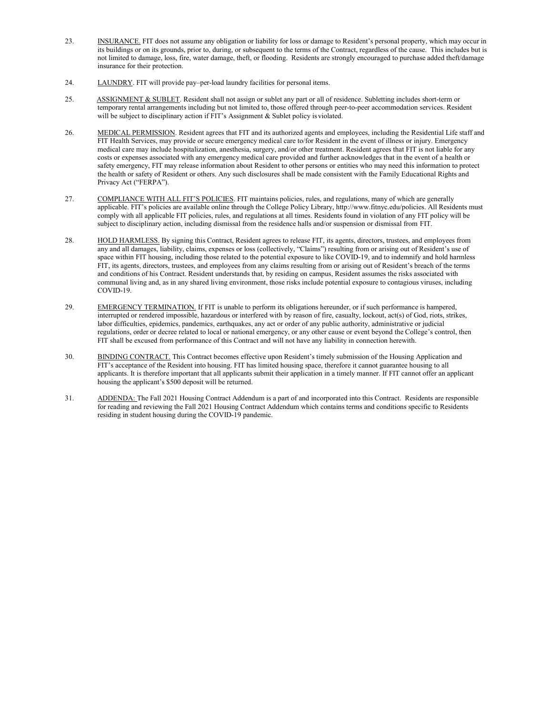- 23. INSURANCE. FIT does not assume any obligation or liability for loss or damage to Resident's personal property, which may occur in its buildings or on its grounds, prior to, during, or subsequent to the terms of the Contract, regardless of the cause. This includes but is not limited to damage, loss, fire, water damage, theft, or flooding. Residents are strongly encouraged to purchase added theft/damage insurance for their protection.
- 24. LAUNDRY. FIT will provide pay–per-load laundry facilities for personal items.
- 25. ASSIGNMENT & SUBLET. Resident shall not assign or sublet any part or all of residence. Subletting includes short-term or temporary rental arrangements including but not limited to, those offered through peer-to-peer accommodation services. Resident will be subject to disciplinary action if FIT's Assignment & Sublet policy is violated.
- 26. MEDICAL PERMISSION. Resident agrees that FIT and its authorized agents and employees, including the Residential Life staff and FIT Health Services, may provide or secure emergency medical care to/for Resident in the event of illness or injury. Emergency medical care may include hospitalization, anesthesia, surgery, and/or other treatment. Resident agrees that FIT is not liable for any costs or expenses associated with any emergency medical care provided and further acknowledges that in the event of a health or safety emergency, FIT may release information about Resident to other persons or entities who may need this information to protect the health or safety of Resident or others. Any such disclosures shall be made consistent with the Family Educational Rights and Privacy Act ("FERPA").
- 27. COMPLIANCE WITH ALL FIT'S POLICIES. FIT maintains policies, rules, and regulations, many of which are generally applicable. FIT's policies are available online through the College Policy Library[, http://www.fitnyc.edu/policies.](http://www.fitnyc.edu/policies) All Residents must comply with all applicable FIT policies, rules, and regulations at all times. Residents found in violation of any FIT policy will be subject to disciplinary action, including dismissal from the residence halls and/or suspension or dismissal from FIT.
- 28. HOLD HARMLESS. By signing this Contract, Resident agrees to release FIT, its agents, directors, trustees, and employees from any and all damages, liability, claims, expenses or loss (collectively, "Claims") resulting from or arising out of Resident's use of space within FIT housing, including those related to the potential exposure to like COVID-19, and to indemnify and hold harmless FIT, its agents, directors, trustees, and employees from any claims resulting from or arising out of Resident's breach of the terms and conditions of his Contract. Resident understands that, by residing on campus, Resident assumes the risks associated with communal living and, as in any shared living environment, those risks include potential exposure to contagious viruses, including COVID-19.
- 29. EMERGENCY TERMINATION. If FIT is unable to perform its obligations hereunder, or if such performance is hampered, interrupted or rendered impossible, hazardous or interfered with by reason of fire, casualty, lockout, act(s) of God, riots, strikes, labor difficulties, epidemics, pandemics, earthquakes, any act or order of any public authority, administrative or judicial regulations, order or decree related to local or national emergency, or any other cause or event beyond the College's control, then FIT shall be excused from performance of this Contract and will not have any liability in connection herewith.
- 30. BINDING CONTRACT. This Contract becomes effective upon Resident's timely submission of the Housing Application and FIT's acceptance of the Resident into housing. FIT has limited housing space, therefore it cannot guarantee housing to all applicants. It is therefore important that all applicants submit their application in a timely manner. If FIT cannot offer an applicant housing the applicant's \$500 deposit will be returned.
- 31. ADDENDA: The Fall 2021 Housing Contract Addendum is a part of and incorporated into this Contract. Residents are responsible for reading and reviewing the Fall 2021 Housing Contract Addendum which contains terms and conditions specific to Residents residing in student housing during the COVID-19 pandemic.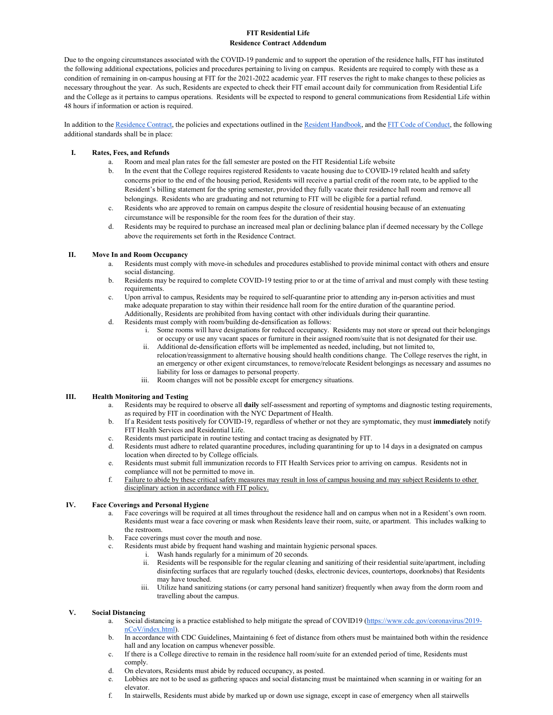# **FIT Residential Life Residence Contract Addendum**

Due to the ongoing circumstances associated with the COVID-19 pandemic and to support the operation of the residence halls, FIT has instituted the following additional expectations, policies and procedures pertaining to living on campus. Residents are required to comply with these as a condition of remaining in on-campus housing at FIT for the 2021-2022 academic year. FIT reserves the right to make changes to these policies as necessary throughout the year. As such, Residents are expected to check their FIT email account daily for communication from Residential Life and the College as it pertains to campus operations. Residents will be expected to respond to general communications from Residential Life within 48 hours if information or action is required.

In addition to th[e Residence Contract,](http://www.fitnyc.edu/residential-life/policies/index.php) the policies and expectations outlined in th[e Resident Handbook,](http://www.fitnyc.edu/residential-life/policies/index.php) and th[e FIT Code of Conduct,](http://www.fitnyc.edu/policies/enrollment-management/code-of-conduct.php) the following additional standards shall be in place:

## **I. Rates, Fees, and Refunds**

- a. Room and meal plan rates for the fall semester are posted on the FIT Residential Life website
- b. In the event that the College requires registered Residents to vacate housing due to COVID-19 related health and safety concerns prior to the end of the housing period, Residents will receive a partial credit of the room rate, to be applied to the Resident's billing statement for the spring semester, provided they fully vacate their residence hall room and remove all belongings. Residents who are graduating and not returning to FIT will be eligible for a partial refund.
- c. Residents who are approved to remain on campus despite the closure of residential housing because of an extenuating circumstance will be responsible for the room fees for the duration of their stay.
- d. Residents may be required to purchase an increased meal plan or declining balance plan if deemed necessary by the College above the requirements set forth in the Residence Contract.

## **II. Move In and Room Occupancy**

- a. Residents must comply with move-in schedules and procedures established to provide minimal contact with others and ensure social distancing.
- b. Residents may be required to complete COVID-19 testing prior to or at the time of arrival and must comply with these testing requirements.
- c. Upon arrival to campus, Residents may be required to self-quarantine prior to attending any in-person activities and must make adequate preparation to stay within their residence hall room for the entire duration of the quarantine period.
- Additionally, Residents are prohibited from having contact with other individuals during their quarantine. d. Residents must comply with room/building de-densification as follows:
	- i. Some rooms will have designations for reduced occupancy. Residents may not store or spread out their belongings or occupy or use any vacant spaces or furniture in their assigned room/suite that is not designated for their use.
	- ii. Additional de-densification efforts will be implemented as needed, including, but not limited to, relocation/reassignment to alternative housing should health conditions change. The College reserves the right, in an emergency or other exigent circumstances, to remove/relocate Resident belongings as necessary and assumes no liability for loss or damages to personal property.
	- iii. Room changes will not be possible except for emergency situations.

# **III. Health Monitoring and Testing**

- a. Residents may be required to observe all **daily** self-assessment and reporting of symptoms and diagnostic testing requirements, as required by FIT in coordination with the NYC Department of Health.
- b. If a Resident tests positively for COVID-19, regardless of whether or not they are symptomatic, they must **immediately** notify FIT Health Services and Residential Life.
- c. Residents must participate in routine testing and contact tracing as designated by FIT.
- d. Residents must adhere to related quarantine procedures, including quarantining for up to 14 days in a designated on campus location when directed to by College officials.
- e. Residents must submit full immunization records to FIT Health Services prior to arriving on campus. Residents not in compliance will not be permitted to move in.
- f. Failure to abide by these critical safety measures may result in loss of campus housing and may subject Residents to other disciplinary action in accordance with FIT policy.

# **IV. Face Coverings and Personal Hygiene**

- a. Face coverings will be required at all times throughout the residence hall and on campus when not in a Resident's own room. Residents must wear a face covering or mask when Residents leave their room, suite, or apartment. This includes walking to the restroom.
- b. Face coverings must cover the mouth and nose.
- c. Residents must abide by frequent hand washing and maintain hygienic personal spaces.
	- i. Wash hands regularly for a minimum of 20 seconds.
	- ii. Residents will be responsible for the regular cleaning and sanitizing of their residential suite/apartment, including disinfecting surfaces that are regularly touched (desks, electronic devices, countertops, doorknobs) that Residents may have touched.
	- iii. Utilize hand sanitizing stations (or carry personal hand sanitizer) frequently when away from the dorm room and travelling about the campus.

#### **V. Social Distancing**

- a. Social distancing is a practice established to help mitigate the spread of COVID19 [\(https://www.cdc.gov/coronavirus/2019](https://www.cdc.gov/coronavirus/2019-nCoV/index.html) [nCoV/index.html\)](https://www.cdc.gov/coronavirus/2019-nCoV/index.html).
- b. In accordance with CDC Guidelines, Maintaining 6 feet of distance from others must be maintained both within the residence hall and any location on campus whenever possible.
- c. If there is a College directive to remain in the residence hall room/suite for an extended period of time, Residents must comply.
- d. On elevators, Residents must abide by reduced occupancy, as posted.
- e. Lobbies are not to be used as gathering spaces and social distancing must be maintained when scanning in or waiting for an elevator.
- f. In stairwells, Residents must abide by marked up or down use signage, except in case of emergency when all stairwells